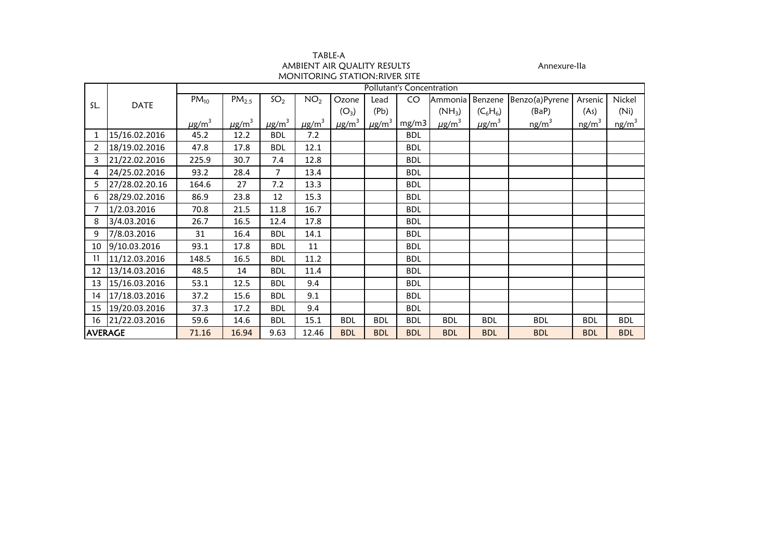| TABLE-A                       |  |
|-------------------------------|--|
| AMBIENT AIR OUALITY RESULTS   |  |
| MONITORING STATION:RIVER SITE |  |

Annexure-IIa

|                |                | Pollutant's Concentration |                        |                        |                        |                        |                        |            |                        |                        |                   |                   |                   |  |
|----------------|----------------|---------------------------|------------------------|------------------------|------------------------|------------------------|------------------------|------------|------------------------|------------------------|-------------------|-------------------|-------------------|--|
| SL.            | <b>DATE</b>    | $PM_{10}$                 | PM <sub>2.5</sub>      | SO <sub>2</sub>        | NO <sub>2</sub>        | Ozone                  | Lead                   | CO         | Ammonia                | Benzene                | Benzo(a)Pyrene    | Arsenic           | Nickel            |  |
|                |                |                           |                        |                        |                        | $(O_3)$                | (Pb)                   |            | $(NH_3)$               | $(C_6H_6)$             | (BaP)             | (As)              | (Ni)              |  |
|                |                | $\mu$ g/m <sup>3</sup>    | $\mu$ g/m <sup>3</sup> | $\mu$ g/m <sup>3</sup> | $\mu$ g/m <sup>3</sup> | $\mu$ g/m <sup>3</sup> | $\mu$ g/m <sup>3</sup> | mg/m3      | $\mu$ g/m <sup>3</sup> | $\mu$ g/m <sup>3</sup> | ng/m <sup>3</sup> | ng/m <sup>3</sup> | ng/m <sup>3</sup> |  |
| 1              | 15/16.02.2016  | 45.2                      | 12.2                   | <b>BDL</b>             | 7.2                    |                        |                        | <b>BDL</b> |                        |                        |                   |                   |                   |  |
| 2              | 18/19.02.2016  | 47.8                      | 17.8                   | <b>BDL</b>             | 12.1                   |                        |                        | <b>BDL</b> |                        |                        |                   |                   |                   |  |
| 3              | 21/22.02.2016  | 225.9                     | 30.7                   | 7.4                    | 12.8                   |                        |                        | <b>BDL</b> |                        |                        |                   |                   |                   |  |
| 4              | 24/25.02.2016  | 93.2                      | 28.4                   | $\overline{7}$         | 13.4                   |                        |                        | <b>BDL</b> |                        |                        |                   |                   |                   |  |
| 5              | 27/28.02.20.16 | 164.6                     | 27                     | 7.2                    | 13.3                   |                        |                        | <b>BDL</b> |                        |                        |                   |                   |                   |  |
| 6              | 28/29.02.2016  | 86.9                      | 23.8                   | 12                     | 15.3                   |                        |                        | <b>BDL</b> |                        |                        |                   |                   |                   |  |
|                | 1/2.03.2016    | 70.8                      | 21.5                   | 11.8                   | 16.7                   |                        |                        | <b>BDL</b> |                        |                        |                   |                   |                   |  |
| 8              | 3/4.03.2016    | 26.7                      | 16.5                   | 12.4                   | 17.8                   |                        |                        | <b>BDL</b> |                        |                        |                   |                   |                   |  |
| 9              | 7/8.03.2016    | 31                        | 16.4                   | <b>BDL</b>             | 14.1                   |                        |                        | <b>BDL</b> |                        |                        |                   |                   |                   |  |
| 10             | 9/10.03.2016   | 93.1                      | 17.8                   | <b>BDL</b>             | 11                     |                        |                        | <b>BDL</b> |                        |                        |                   |                   |                   |  |
| 11             | 11/12.03.2016  | 148.5                     | 16.5                   | <b>BDL</b>             | 11.2                   |                        |                        | <b>BDL</b> |                        |                        |                   |                   |                   |  |
| 12             | 13/14.03.2016  | 48.5                      | 14                     | <b>BDL</b>             | 11.4                   |                        |                        | <b>BDL</b> |                        |                        |                   |                   |                   |  |
| 13             | 15/16.03.2016  | 53.1                      | 12.5                   | <b>BDL</b>             | 9.4                    |                        |                        | <b>BDL</b> |                        |                        |                   |                   |                   |  |
| 14             | 17/18.03.2016  | 37.2                      | 15.6                   | <b>BDL</b>             | 9.1                    |                        |                        | <b>BDL</b> |                        |                        |                   |                   |                   |  |
| 15             | 19/20.03.2016  | 37.3                      | 17.2                   | <b>BDL</b>             | 9.4                    |                        |                        | <b>BDL</b> |                        |                        |                   |                   |                   |  |
| 16             | 21/22.03.2016  | 59.6                      | 14.6                   | <b>BDL</b>             | 15.1                   | <b>BDL</b>             | <b>BDL</b>             | <b>BDL</b> | <b>BDL</b>             | <b>BDL</b>             | <b>BDL</b>        | <b>BDL</b>        | <b>BDL</b>        |  |
| <b>AVERAGE</b> |                | 71.16                     | 16.94                  | 9.63                   | 12.46                  | <b>BDL</b>             | <b>BDL</b>             | <b>BDL</b> | <b>BDL</b>             | <b>BDL</b>             | <b>BDL</b>        | <b>BDL</b>        | <b>BDL</b>        |  |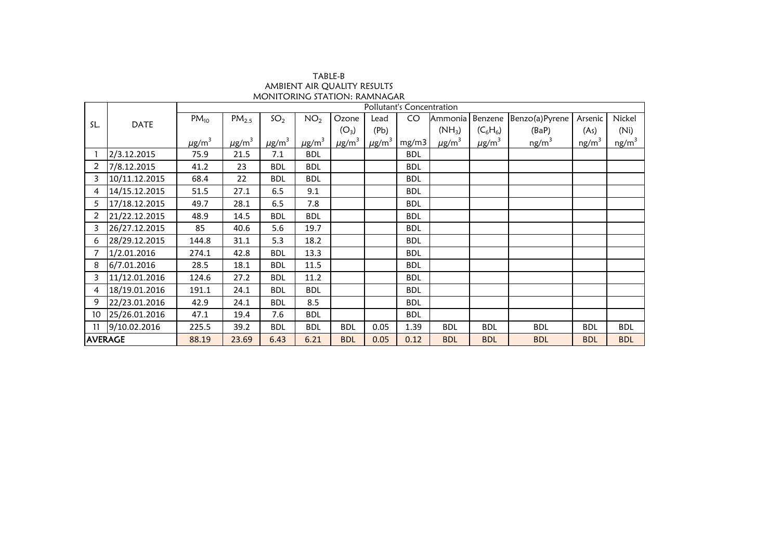|                |               |                        |                        |                        |                        |                        |                        | Pollutant's Concentration |                        |                        |                |                   |            |
|----------------|---------------|------------------------|------------------------|------------------------|------------------------|------------------------|------------------------|---------------------------|------------------------|------------------------|----------------|-------------------|------------|
| SL.            | <b>DATE</b>   | $PM_{10}$              | PM <sub>2.5</sub>      | SO <sub>2</sub>        | NO <sub>2</sub>        | Ozone                  | Lead                   | CO.                       | Ammonia                | Benzene                | Benzo(a)Pyrene | Arsenic           | Nickel     |
|                |               |                        |                        |                        |                        | $(O_3)$                | (Pb)                   |                           | $(NH_3)$               | $(C_6H_6)$             | (BaP)          | (As)              | (Ni)       |
|                |               | $\mu$ g/m <sup>3</sup> | $\mu$ g/m <sup>3</sup> | $\mu$ g/m <sup>3</sup> | $\mu$ g/m <sup>3</sup> | $\mu$ g/m <sup>3</sup> | $\mu$ g/m <sup>3</sup> | mg/m3                     | $\mu$ g/m <sup>3</sup> | $\mu$ g/m <sup>3</sup> | $ng/m^3$       | ng/m <sup>3</sup> | $ng/m^3$   |
|                | 2/3.12.2015   | 75.9                   | 21.5                   | 7.1                    | <b>BDL</b>             |                        |                        | <b>BDL</b>                |                        |                        |                |                   |            |
| 2              | 7/8.12.2015   | 41.2                   | 23                     | <b>BDL</b>             | <b>BDL</b>             |                        |                        | <b>BDL</b>                |                        |                        |                |                   |            |
| 3              | 10/11.12.2015 | 68.4                   | 22                     | <b>BDL</b>             | <b>BDL</b>             |                        |                        | <b>BDL</b>                |                        |                        |                |                   |            |
| 4              | 14/15.12.2015 | 51.5                   | 27.1                   | 6.5                    | 9.1                    |                        |                        | <b>BDL</b>                |                        |                        |                |                   |            |
| 5              | 17/18.12.2015 | 49.7                   | 28.1                   | 6.5                    | 7.8                    |                        |                        | <b>BDL</b>                |                        |                        |                |                   |            |
| $\overline{2}$ | 21/22.12.2015 | 48.9                   | 14.5                   | <b>BDL</b>             | <b>BDL</b>             |                        |                        | <b>BDL</b>                |                        |                        |                |                   |            |
| 3              | 26/27.12.2015 | 85                     | 40.6                   | 5.6                    | 19.7                   |                        |                        | <b>BDL</b>                |                        |                        |                |                   |            |
| 6              | 28/29.12.2015 | 144.8                  | 31.1                   | 5.3                    | 18.2                   |                        |                        | <b>BDL</b>                |                        |                        |                |                   |            |
|                | 1/2.01.2016   | 274.1                  | 42.8                   | <b>BDL</b>             | 13.3                   |                        |                        | <b>BDL</b>                |                        |                        |                |                   |            |
| 8              | 6/7.01.2016   | 28.5                   | 18.1                   | <b>BDL</b>             | 11.5                   |                        |                        | <b>BDL</b>                |                        |                        |                |                   |            |
| 3              | 11/12.01.2016 | 124.6                  | 27.2                   | <b>BDL</b>             | 11.2                   |                        |                        | <b>BDL</b>                |                        |                        |                |                   |            |
| 4              | 18/19.01.2016 | 191.1                  | 24.1                   | <b>BDL</b>             | <b>BDL</b>             |                        |                        | <b>BDL</b>                |                        |                        |                |                   |            |
| 9              | 22/23.01.2016 | 42.9                   | 24.1                   | <b>BDL</b>             | 8.5                    |                        |                        | <b>BDL</b>                |                        |                        |                |                   |            |
| 10             | 25/26.01.2016 | 47.1                   | 19.4                   | 7.6                    | <b>BDL</b>             |                        |                        | <b>BDL</b>                |                        |                        |                |                   |            |
| 11             | 9/10.02.2016  | 225.5                  | 39.2                   | <b>BDL</b>             | <b>BDL</b>             | <b>BDL</b>             | 0.05                   | 1.39                      | <b>BDL</b>             | <b>BDL</b>             | <b>BDL</b>     | <b>BDL</b>        | <b>BDL</b> |
| <b>AVERAGE</b> |               | 88.19                  | 23.69                  | 6.43                   | 6.21                   | <b>BDL</b>             | 0.05                   | 0.12                      | <b>BDL</b>             | <b>BDL</b>             | <b>BDL</b>     | <b>BDL</b>        | <b>BDL</b> |

AMBIENT AIR QUALITY RESULTS TABLE-B MONITORING STATION: RAMNAGAR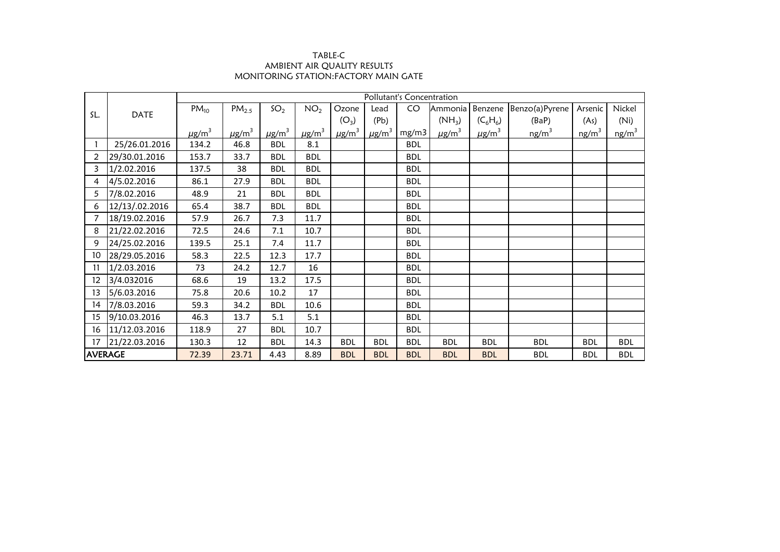## AMBIENT AIR QUALITY RESULTS MONITORING STATION:FACTORY MAIN GATE TABLE-C

|                |                | Pollutant's Concentration |                        |                        |                        |                        |                        |            |                        |                        |                   |                   |                   |
|----------------|----------------|---------------------------|------------------------|------------------------|------------------------|------------------------|------------------------|------------|------------------------|------------------------|-------------------|-------------------|-------------------|
| SL.            | <b>DATE</b>    | $PM_{10}$                 | PM <sub>2.5</sub>      | SO <sub>2</sub>        | NO <sub>2</sub>        | Ozone                  | Lead                   | CO         | Ammonia                | Benzene                | Benzo(a)Pyrene    | Arsenic           | Nickel            |
|                |                |                           |                        |                        |                        | $(O_3)$                | (Pb)                   |            | $(NH_3)$               | $(C_6H_6)$             | (BaP)             | (As)              | (Ni)              |
|                |                | $\mu$ g/m <sup>3</sup>    | $\mu$ g/m <sup>3</sup> | $\mu$ g/m <sup>3</sup> | $\mu$ g/m <sup>3</sup> | $\mu$ g/m <sup>3</sup> | $\mu$ g/m <sup>3</sup> | mg/m3      | $\mu$ g/m <sup>3</sup> | $\mu$ g/m <sup>3</sup> | ng/m <sup>3</sup> | ng/m <sup>3</sup> | ng/m <sup>3</sup> |
|                | 25/26.01.2016  | 134.2                     | 46.8                   | <b>BDL</b>             | 8.1                    |                        |                        | <b>BDL</b> |                        |                        |                   |                   |                   |
| 2              | 29/30.01.2016  | 153.7                     | 33.7                   | <b>BDL</b>             | <b>BDL</b>             |                        |                        | <b>BDL</b> |                        |                        |                   |                   |                   |
| 3              | 1/2.02.2016    | 137.5                     | 38                     | <b>BDL</b>             | <b>BDL</b>             |                        |                        | <b>BDL</b> |                        |                        |                   |                   |                   |
| 4              | 4/5.02.2016    | 86.1                      | 27.9                   | <b>BDL</b>             | <b>BDL</b>             |                        |                        | <b>BDL</b> |                        |                        |                   |                   |                   |
| 5              | 7/8.02.2016    | 48.9                      | 21                     | <b>BDL</b>             | <b>BDL</b>             |                        |                        | <b>BDL</b> |                        |                        |                   |                   |                   |
| 6              | 12/13/.02.2016 | 65.4                      | 38.7                   | <b>BDL</b>             | <b>BDL</b>             |                        |                        | <b>BDL</b> |                        |                        |                   |                   |                   |
|                | 18/19.02.2016  | 57.9                      | 26.7                   | 7.3                    | 11.7                   |                        |                        | <b>BDL</b> |                        |                        |                   |                   |                   |
| 8              | 21/22.02.2016  | 72.5                      | 24.6                   | 7.1                    | 10.7                   |                        |                        | <b>BDL</b> |                        |                        |                   |                   |                   |
| 9              | 24/25.02.2016  | 139.5                     | 25.1                   | 7.4                    | 11.7                   |                        |                        | <b>BDL</b> |                        |                        |                   |                   |                   |
| 10             | 28/29.05.2016  | 58.3                      | 22.5                   | 12.3                   | 17.7                   |                        |                        | <b>BDL</b> |                        |                        |                   |                   |                   |
| 11             | 1/2.03.2016    | 73                        | 24.2                   | 12.7                   | 16                     |                        |                        | <b>BDL</b> |                        |                        |                   |                   |                   |
| 12             | 3/4.032016     | 68.6                      | 19                     | 13.2                   | 17.5                   |                        |                        | <b>BDL</b> |                        |                        |                   |                   |                   |
| 13             | 5/6.03.2016    | 75.8                      | 20.6                   | 10.2                   | 17                     |                        |                        | <b>BDL</b> |                        |                        |                   |                   |                   |
| 14             | 7/8.03.2016    | 59.3                      | 34.2                   | <b>BDL</b>             | 10.6                   |                        |                        | <b>BDL</b> |                        |                        |                   |                   |                   |
| 15             | 9/10.03.2016   | 46.3                      | 13.7                   | 5.1                    | 5.1                    |                        |                        | <b>BDL</b> |                        |                        |                   |                   |                   |
| 16             | 11/12.03.2016  | 118.9                     | 27                     | <b>BDL</b>             | 10.7                   |                        |                        | <b>BDL</b> |                        |                        |                   |                   |                   |
| 17             | 21/22.03.2016  | 130.3                     | 12                     | <b>BDL</b>             | 14.3                   | <b>BDL</b>             | <b>BDL</b>             | <b>BDL</b> | <b>BDL</b>             | <b>BDL</b>             | <b>BDL</b>        | <b>BDL</b>        | <b>BDL</b>        |
| <b>AVERAGE</b> |                | 72.39                     | 23.71                  | 4.43                   | 8.89                   | <b>BDL</b>             | <b>BDL</b>             | <b>BDL</b> | <b>BDL</b>             | <b>BDL</b>             | <b>BDL</b>        | <b>BDL</b>        | <b>BDL</b>        |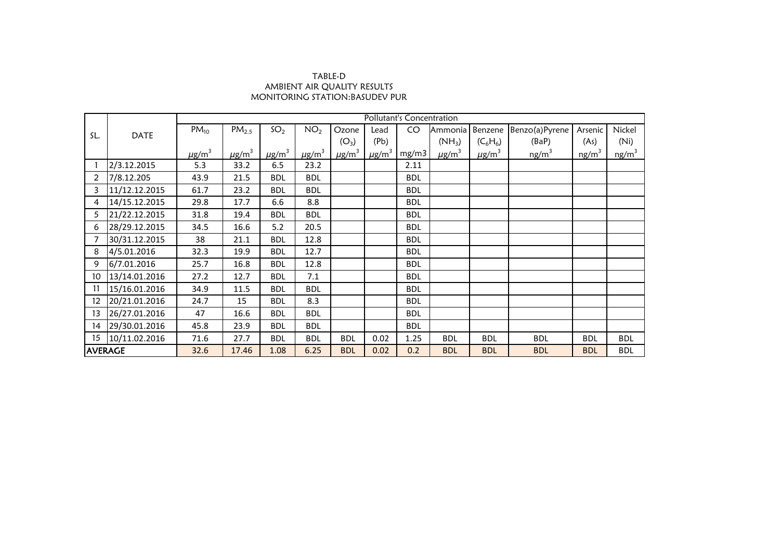## TABLE-D AMBIENT AIR QUALITY RESULTS MONITORING STATION:BASUDEV PUR

|                |               | Pollutant's Concentration |                        |                 |                        |                        |                        |            |                        |                        |                   |                   |                   |
|----------------|---------------|---------------------------|------------------------|-----------------|------------------------|------------------------|------------------------|------------|------------------------|------------------------|-------------------|-------------------|-------------------|
|                |               | $PM_{10}$                 | PM <sub>2.5</sub>      | SO <sub>2</sub> | NO <sub>2</sub>        | Ozone                  | Lead                   | CO         | Ammonia                | Benzene                | Benzo(a)Pyrene    | Arsenic           | Nickel            |
| SL.            | <b>DATE</b>   |                           |                        |                 |                        | $(O_3)$                | (Pb)                   |            | $(NH_3)$               | $(C_6H_6)$             | (BaP)             | (As)              | (Ni)              |
|                |               | $\mu$ g/m <sup>3</sup>    | $\mu$ g/m <sup>3</sup> | $\mu$ g/m $^3$  | $\mu$ g/m <sup>3</sup> | $\mu$ g/m <sup>3</sup> | $\mu$ g/m <sup>3</sup> | mg/m3      | $\mu$ g/m <sup>3</sup> | $\mu$ g/m <sup>3</sup> | ng/m <sup>3</sup> | ng/m <sup>3</sup> | ng/m <sup>3</sup> |
|                | 2/3.12.2015   | 5.3                       | 33.2                   | 6.5             | 23.2                   |                        |                        | 2.11       |                        |                        |                   |                   |                   |
| $\overline{2}$ | 7/8.12.205    | 43.9                      | 21.5                   | <b>BDL</b>      | <b>BDL</b>             |                        |                        | <b>BDL</b> |                        |                        |                   |                   |                   |
| 3              | 11/12.12.2015 | 61.7                      | 23.2                   | <b>BDL</b>      | <b>BDL</b>             |                        |                        | <b>BDL</b> |                        |                        |                   |                   |                   |
| 4              | 14/15.12.2015 | 29.8                      | 17.7                   | 6.6             | 8.8                    |                        |                        | <b>BDL</b> |                        |                        |                   |                   |                   |
| 5              | 21/22.12.2015 | 31.8                      | 19.4                   | <b>BDL</b>      | <b>BDL</b>             |                        |                        | <b>BDL</b> |                        |                        |                   |                   |                   |
| 6              | 28/29.12.2015 | 34.5                      | 16.6                   | 5.2             | 20.5                   |                        |                        | <b>BDL</b> |                        |                        |                   |                   |                   |
| 7              | 30/31.12.2015 | 38                        | 21.1                   | <b>BDL</b>      | 12.8                   |                        |                        | <b>BDL</b> |                        |                        |                   |                   |                   |
| 8              | 4/5.01.2016   | 32.3                      | 19.9                   | <b>BDL</b>      | 12.7                   |                        |                        | <b>BDL</b> |                        |                        |                   |                   |                   |
| 9              | 6/7.01.2016   | 25.7                      | 16.8                   | <b>BDL</b>      | 12.8                   |                        |                        | <b>BDL</b> |                        |                        |                   |                   |                   |
| 10             | 13/14.01.2016 | 27.2                      | 12.7                   | <b>BDL</b>      | 7.1                    |                        |                        | <b>BDL</b> |                        |                        |                   |                   |                   |
| 11             | 15/16.01.2016 | 34.9                      | 11.5                   | <b>BDL</b>      | <b>BDL</b>             |                        |                        | <b>BDL</b> |                        |                        |                   |                   |                   |
| 12             | 20/21.01.2016 | 24.7                      | 15                     | <b>BDL</b>      | 8.3                    |                        |                        | <b>BDL</b> |                        |                        |                   |                   |                   |
| 13             | 26/27.01.2016 | 47                        | 16.6                   | <b>BDL</b>      | <b>BDL</b>             |                        |                        | <b>BDL</b> |                        |                        |                   |                   |                   |
| 14             | 29/30.01.2016 | 45.8                      | 23.9                   | <b>BDL</b>      | <b>BDL</b>             |                        |                        | <b>BDL</b> |                        |                        |                   |                   |                   |
| 15             | 10/11.02.2016 | 71.6                      | 27.7                   | <b>BDL</b>      | <b>BDL</b>             | <b>BDL</b>             | 0.02                   | 1.25       | <b>BDL</b>             | <b>BDL</b>             | <b>BDL</b>        | <b>BDL</b>        | <b>BDL</b>        |
| <b>AVERAGE</b> |               | 32.6                      | 17.46                  | 1.08            | 6.25                   | <b>BDL</b>             | 0.02                   | 0.2        | <b>BDL</b>             | <b>BDL</b>             | <b>BDL</b>        | <b>BDL</b>        | <b>BDL</b>        |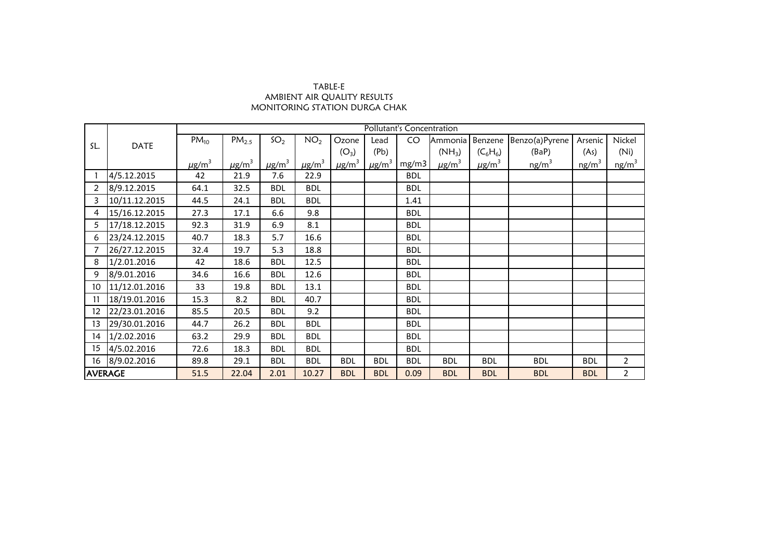## TABLE-E AMBIENT AIR QUALITY RESULTS MONITORING STATION DURGA CHAK

|                |               | Pollutant's Concentration |                        |                 |                        |                        |                        |            |                        |                        |                   |                   |                   |
|----------------|---------------|---------------------------|------------------------|-----------------|------------------------|------------------------|------------------------|------------|------------------------|------------------------|-------------------|-------------------|-------------------|
|                | <b>DATE</b>   | $PM_{10}$                 | PM <sub>2.5</sub>      | SO <sub>2</sub> | NO <sub>2</sub>        | Ozone                  | Lead                   | CO         | Ammonia                | Benzene                | Benzo(a)Pyrene    | Arsenic           | Nickel            |
| SL.            |               |                           |                        |                 |                        | $(O_3)$                | (Pb)                   |            | $(NH_3)$               | $(C_6H_6)$             | (BaP)             | (As)              | (Ni)              |
|                |               | $\mu$ g/m <sup>3</sup>    | $\mu$ g/m <sup>3</sup> | $\mu$ g/m $^3$  | $\mu$ g/m <sup>3</sup> | $\mu$ g/m <sup>3</sup> | $\mu$ g/m <sup>3</sup> | mg/m3      | $\mu$ g/m <sup>3</sup> | $\mu$ g/m <sup>3</sup> | ng/m <sup>3</sup> | ng/m <sup>3</sup> | ng/m <sup>3</sup> |
|                | 4/5.12.2015   | 42                        | 21.9                   | 7.6             | 22.9                   |                        |                        | <b>BDL</b> |                        |                        |                   |                   |                   |
| $\overline{2}$ | 8/9.12.2015   | 64.1                      | 32.5                   | <b>BDL</b>      | <b>BDL</b>             |                        |                        | <b>BDL</b> |                        |                        |                   |                   |                   |
| 3              | 10/11.12.2015 | 44.5                      | 24.1                   | <b>BDL</b>      | <b>BDL</b>             |                        |                        | 1.41       |                        |                        |                   |                   |                   |
| 4              | 15/16.12.2015 | 27.3                      | 17.1                   | 6.6             | 9.8                    |                        |                        | <b>BDL</b> |                        |                        |                   |                   |                   |
| 5              | 17/18.12.2015 | 92.3                      | 31.9                   | 6.9             | 8.1                    |                        |                        | <b>BDL</b> |                        |                        |                   |                   |                   |
| 6              | 23/24.12.2015 | 40.7                      | 18.3                   | 5.7             | 16.6                   |                        |                        | <b>BDL</b> |                        |                        |                   |                   |                   |
|                | 26/27.12.2015 | 32.4                      | 19.7                   | 5.3             | 18.8                   |                        |                        | <b>BDL</b> |                        |                        |                   |                   |                   |
| 8              | 1/2.01.2016   | 42                        | 18.6                   | <b>BDL</b>      | 12.5                   |                        |                        | <b>BDL</b> |                        |                        |                   |                   |                   |
| 9              | 8/9.01.2016   | 34.6                      | 16.6                   | <b>BDL</b>      | 12.6                   |                        |                        | <b>BDL</b> |                        |                        |                   |                   |                   |
| 10             | 11/12.01.2016 | 33                        | 19.8                   | <b>BDL</b>      | 13.1                   |                        |                        | <b>BDL</b> |                        |                        |                   |                   |                   |
| 11             | 18/19.01.2016 | 15.3                      | 8.2                    | <b>BDL</b>      | 40.7                   |                        |                        | <b>BDL</b> |                        |                        |                   |                   |                   |
| 12             | 22/23.01.2016 | 85.5                      | 20.5                   | <b>BDL</b>      | 9.2                    |                        |                        | <b>BDL</b> |                        |                        |                   |                   |                   |
| 13             | 29/30.01.2016 | 44.7                      | 26.2                   | <b>BDL</b>      | <b>BDL</b>             |                        |                        | <b>BDL</b> |                        |                        |                   |                   |                   |
| 14             | 1/2.02.2016   | 63.2                      | 29.9                   | <b>BDL</b>      | <b>BDL</b>             |                        |                        | <b>BDL</b> |                        |                        |                   |                   |                   |
| 15             | 4/5.02.2016   | 72.6                      | 18.3                   | <b>BDL</b>      | <b>BDL</b>             |                        |                        | <b>BDL</b> |                        |                        |                   |                   |                   |
| 16             | 8/9.02.2016   | 89.8                      | 29.1                   | <b>BDL</b>      | <b>BDL</b>             | <b>BDL</b>             | <b>BDL</b>             | <b>BDL</b> | <b>BDL</b>             | <b>BDL</b>             | <b>BDL</b>        | <b>BDL</b>        | $\overline{2}$    |
| <b>AVERAGE</b> |               | 51.5                      | 22.04                  | 2.01            | 10.27                  | <b>BDL</b>             | <b>BDL</b>             | 0.09       | <b>BDL</b>             | <b>BDL</b>             | <b>BDL</b>        | <b>BDL</b>        | $\overline{2}$    |